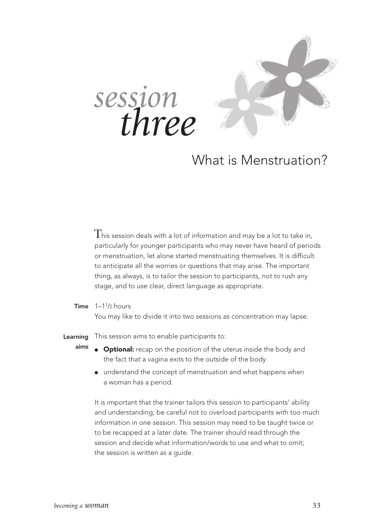



### What is Menstruation?

 ${\rm T}$ his session deals with a lot of information and may be a lot to take in, particularly for younger participants who may never have heard of periods or menstruation, let alone started menstruating themselves. It is difficult to anticipate all the worries or questions that may arise. The important thing, as always, is to tailor the session to participants, not to rush any stage, and to use clear, direct language as appropriate.

**Time**  $1-1\frac{1}{2}$  hours You may like to divide it into two sessions as concentration may lapse.

This session aims to enable participants to: Learning

- **Optional:** recap on the position of the uterus inside the body and the fact that a vagina exits to the outside of the body aims
	- understand the concept of menstruation and what happens when a woman has a period.

It is important that the trainer tailors this session to participants' ability and understanding; be careful not to overload participants with too much information in one session. This session may need to be taught twice or to be recapped at a later date. The trainer should read through the session and decide what information/words to use and what to omit; the session is written as a quide.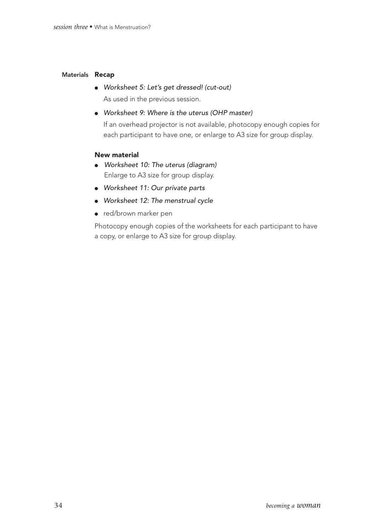#### Materials Recap

- Worksheet 5: Let's get dressed! (cut-out) As used in the previous session.
- Worksheet 9: Where is the uterus (OHP master)

If an overhead projector is not available, photocopy enough copies for each participant to have one, or enlarge to A3 size for group display.

#### New material

- Worksheet 10: The uterus (diagram) Enlarge to A3 size for group display.
- Worksheet 11: Our private parts
- Worksheet 12: The menstrual cycle
- red/brown marker pen

Photocopy enough copies of the worksheets for each participant to have a copy, or enlarge to A3 size for group display.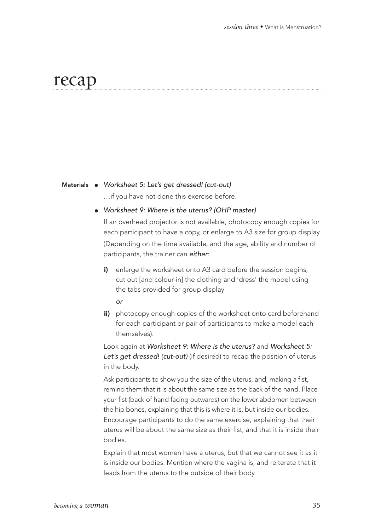### recap

#### Materials • Worksheet 5: Let's get dressed! (cut-out)

…if you have not done this exercise before.

● Worksheet 9: Where is the uterus? (OHP master)

If an overhead projector is not available, photocopy enough copies for each participant to have a copy, or enlarge to A3 size for group display. (Depending on the time available, and the age, ability and number of participants, the trainer can either:

i) enlarge the worksheet onto A3 card before the session begins, cut out [and colour-in] the clothing and 'dress' the model using the tabs provided for group display

or

ii) photocopy enough copies of the worksheet onto card beforehand for each participant or pair of participants to make a model each themselves).

Look again at Worksheet 9: Where is the uterus? and Worksheet 5: Let's get dressed! (cut-out) (if desired) to recap the position of uterus in the body.

Ask participants to show you the size of the uterus, and, making a fist, remind them that it is about the same size as the back of the hand. Place your fist (back of hand facing outwards) on the lower abdomen between the hip bones, explaining that this is where it is, but inside our bodies. Encourage participants to do the same exercise, explaining that their uterus will be about the same size as their fist, and that it is inside their bodies.

Explain that most women have a uterus, but that we cannot see it as it is inside our bodies. Mention where the vagina is, and reiterate that it leads from the uterus to the outside of their body.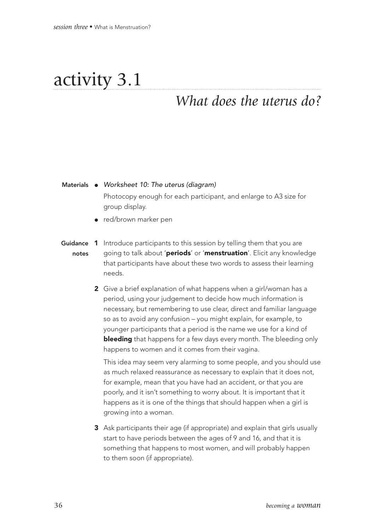# activity 3.1

### *What does the uterus do?*

#### Materials • Worksheet 10: The uterus (diagram)

Photocopy enough for each participant, and enlarge to A3 size for group display.

● red/brown marker pen

#### Guidance 1 Introduce participants to this session by telling them that you are going to talk about 'periods' or 'menstruation'. Elicit any knowledge that participants have about these two words to assess their learning needs. notes

2 Give a brief explanation of what happens when a girl/woman has a period, using your judgement to decide how much information is necessary, but remembering to use clear, direct and familiar language so as to avoid any confusion – you might explain, for example, to younger participants that a period is the name we use for a kind of **bleeding** that happens for a few days every month. The bleeding only happens to women and it comes from their vagina.

This idea may seem very alarming to some people, and you should use as much relaxed reassurance as necessary to explain that it does not, for example, mean that you have had an accident, or that you are poorly, and it isn't something to worry about. It is important that it happens as it is one of the things that should happen when a girl is growing into a woman.

3 Ask participants their age (if appropriate) and explain that girls usually start to have periods between the ages of 9 and 16, and that it is something that happens to most women, and will probably happen to them soon (if appropriate).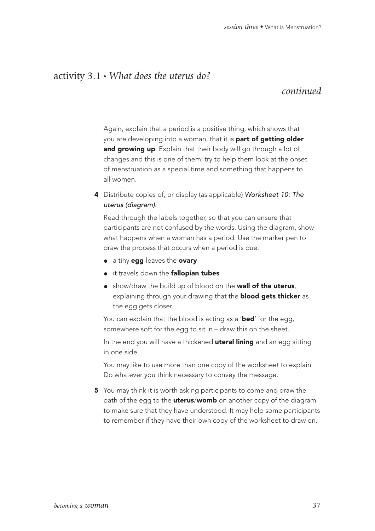#### activity 3.1 • *What does the uterus do?*

#### *continued*

Again, explain that a period is a positive thing, which shows that you are developing into a woman, that it is **part of getting older** and growing up. Explain that their body will go through a lot of changes and this is one of them: try to help them look at the onset of menstruation as a special time and something that happens to all women.

4 Distribute copies of, or display (as applicable) Worksheet 10: The uterus (diagram).

Read through the labels together, so that you can ensure that participants are not confused by the words. Using the diagram, show what happens when a woman has a period. Use the marker pen to draw the process that occurs when a period is due:

- a tiny egg leaves the ovary
- **•** it travels down the **fallopian tubes**
- show/draw the build up of blood on the wall of the uterus, explaining through your drawing that the **blood gets thicker** as the egg gets closer.

You can explain that the blood is acting as a 'bed' for the egg, somewhere soft for the egg to sit in – draw this on the sheet.

In the end you will have a thickened **uteral lining** and an egg sitting in one side.

You may like to use more than one copy of the worksheet to explain. Do whatever you think necessary to convey the message.

5 You may think it is worth asking participants to come and draw the path of the egg to the **uterus/womb** on another copy of the diagram to make sure that they have understood. It may help some participants to remember if they have their own copy of the worksheet to draw on.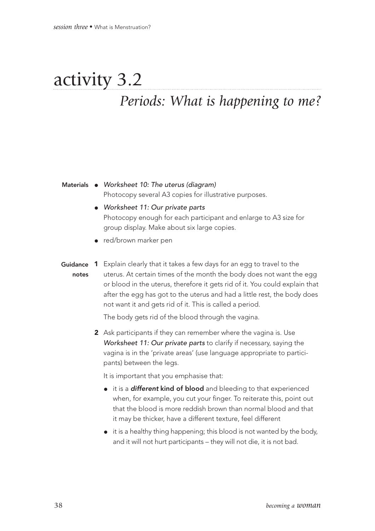## activity 3.2 *Periods: What is happening to me?*

#### Materials • Worksheet 10: The uterus (diagram) Photocopy several A3 copies for illustrative purposes.

- Worksheet 11: Our private parts Photocopy enough for each participant and enlarge to A3 size for group display. Make about six large copies.
- red/brown marker pen
- Guidance 1 Explain clearly that it takes a few days for an egg to travel to the uterus. At certain times of the month the body does not want the egg or blood in the uterus, therefore it gets rid of it. You could explain that after the egg has got to the uterus and had a little rest, the body does not want it and gets rid of it. This is called a period. notes

The body gets rid of the blood through the vagina.

2 Ask participants if they can remember where the vagina is. Use Worksheet 11: Our private parts to clarify if necessary, saying the vagina is in the 'private areas' (use language appropriate to participants) between the legs.

It is important that you emphasise that:

- it is a different kind of blood and bleeding to that experienced when, for example, you cut your finger. To reiterate this, point out that the blood is more reddish brown than normal blood and that it may be thicker, have a different texture, feel different
- $\bullet$  it is a healthy thing happening; this blood is not wanted by the body, and it will not hurt participants – they will not die, it is not bad.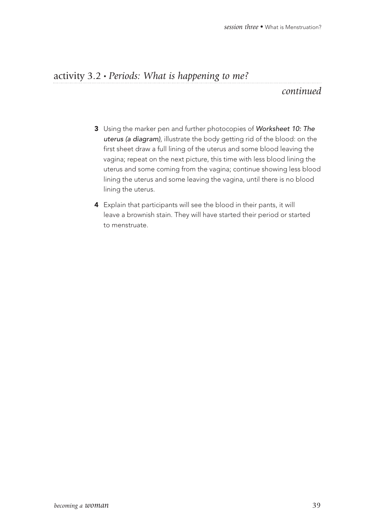#### activity 3.2 • *Periods: What is happening to me?*

#### *continued*

- 3 Using the marker pen and further photocopies of Worksheet 10: The uterus (a diagram), illustrate the body getting rid of the blood: on the first sheet draw a full lining of the uterus and some blood leaving the vagina; repeat on the next picture, this time with less blood lining the uterus and some coming from the vagina; continue showing less blood lining the uterus and some leaving the vagina, until there is no blood lining the uterus.
- 4 Explain that participants will see the blood in their pants, it will leave a brownish stain. They will have started their period or started to menstruate.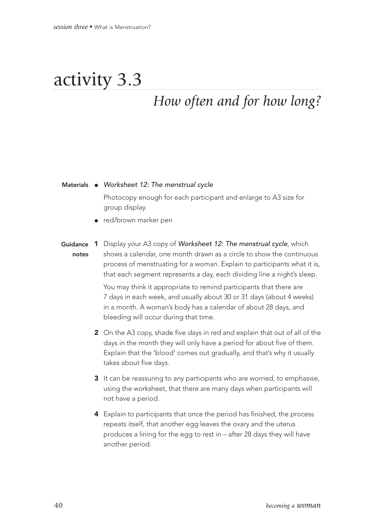# activity 3.3

## *How often and for how long?*

#### Materials • Worksheet 12: The menstrual cycle

Photocopy enough for each participant and enlarge to A3 size for group display.

- red/brown marker pen
- Guidance 1 Display your A3 copy of Worksheet 12: The menstrual cycle, which shows a calendar, one month drawn as a circle to show the continuous process of menstruating for a woman. Explain to participants what it is, that each segment represents a day, each dividing line a night's sleep. notes

You may think it appropriate to remind participants that there are 7 days in each week, and usually about 30 or 31 days (about 4 weeks) in a month. A woman's body has a calendar of about 28 days, and bleeding will occur during that time.

- 2 On the A3 copy, shade five days in red and explain that out of all of the days in the month they will only have a period for about five of them. Explain that the 'blood' comes out gradually, and that's why it usually takes about five days.
- 3 It can be reassuring to any participants who are worried, to emphasise, using the worksheet, that there are many days when participants will not have a period.
- 4 Explain to participants that once the period has finished, the process repeats itself, that another egg leaves the ovary and the uterus produces a lining for the egg to rest in – after 28 days they will have another period.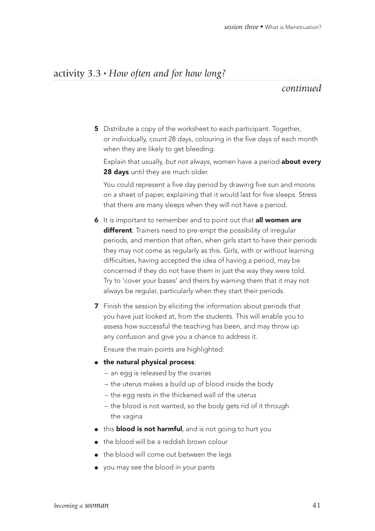#### activity 3.3 • *How often and for how long?*

#### *continued*

**5** Distribute a copy of the worksheet to each participant. Together, or individually, count 28 days, colouring in the five days of each month when they are likely to get bleeding.

Explain that usually, but not always, women have a period **about every** 28 days until they are much older.

You could represent a five day period by drawing five sun and moons on a sheet of paper, explaining that it would last for five sleeps. Stress that there are many sleeps when they will not have a period.

- 6 It is important to remember and to point out that all women are different. Trainers need to pre-empt the possibility of irregular periods, and mention that often, when girls start to have their periods they may not come as regularly as this. Girls, with or without learning difficulties, having accepted the idea of having a period, may be concerned if they do not have them in just the way they were told. Try to 'cover your bases' and theirs by warning them that it may not always be regular, particularly when they start their periods.
- **7** Finish the session by eliciting the information about periods that you have just looked at, from the students. This will enable you to assess how successful the teaching has been, and may throw up any confusion and give you a chance to address it.

Ensure the main points are highlighted:

- the natural physical process:
	- an egg is released by the ovaries
	- the uterus makes a build up of blood inside the body
	- the egg rests in the thickened wall of the uterus
	- the blood is not wanted, so the body gets rid of it through the vagina
- this **blood is not harmful**, and is not going to hurt you
- the blood will be a reddish brown colour
- the blood will come out between the legs
- you may see the blood in your pants